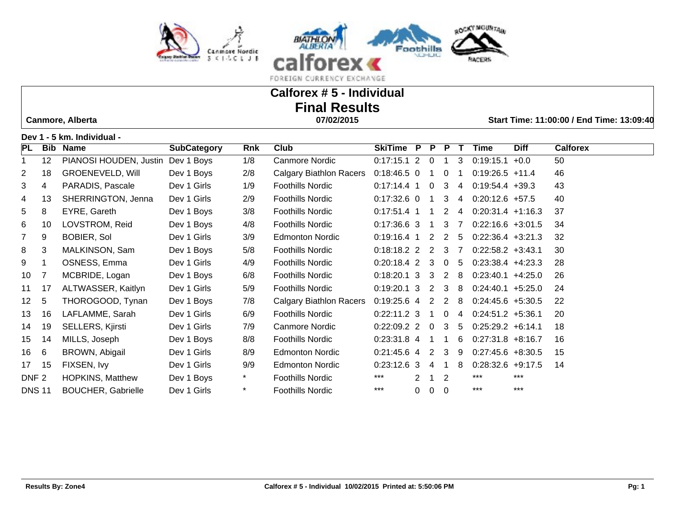



# **Calforex # 5 - Individual Final Results**

 **Canmore, Alberta 07/02/2015 Start Time: 11:00:00 / End Time: 13:09:40**

**Dev 1 - 5 km. Individual -** 

| <b>PL</b>        | Bib | <b>Name</b>               | <b>SubCategory</b> | Rnk     | Club                           | SkiTime P         |   | P.             | P.             |                | Time                 | <b>Diff</b> | <b>Calforex</b> |
|------------------|-----|---------------------------|--------------------|---------|--------------------------------|-------------------|---|----------------|----------------|----------------|----------------------|-------------|-----------------|
|                  | 12  | PIANOSI HOUDEN, Justin    | Dev 1 Boys         | 1/8     | Canmore Nordic                 | $0:17:15.1$ 2     |   | $\mathbf 0$    |                | 3              | 0:19:15.1            | $+0.0$      | 50              |
| $\overline{2}$   | 18  | <b>GROENEVELD, Will</b>   | Dev 1 Boys         | 2/8     | <b>Calgary Biathlon Racers</b> | $0:18:46.5$ 0     |   |                | 0              |                | $0:19:26.5$ +11.4    |             | 46              |
| 3                | 4   | PARADIS, Pascale          | Dev 1 Girls        | 1/9     | <b>Foothills Nordic</b>        | $0:17:14.4$ 1     |   | 0              | 3              | 4              | $0:19:54.4$ +39.3    |             | 43              |
| 4                | 13  | SHERRINGTON, Jenna        | Dev 1 Girls        | 2/9     | <b>Foothills Nordic</b>        | $0:17:32.6$ 0     |   |                | 3              | 4              | $0:20:12.6$ +57.5    |             | 40              |
| 5                | 8   | EYRE, Gareth              | Dev 1 Boys         | 3/8     | <b>Foothills Nordic</b>        | $0:17:51.4$ 1     |   |                | $\overline{2}$ | 4              | $0:20:31.4$ +1:16.3  |             | 37              |
| 6                | 10  | LOVSTROM, Reid            | Dev 1 Boys         | 4/8     | <b>Foothills Nordic</b>        | $0:17:36.6$ 3     |   | -1             | 3              | $\overline{7}$ | $0:22:16.6 + 3:01.5$ |             | 34              |
| $\overline{7}$   | 9   | <b>BOBIER, Sol</b>        | Dev 1 Girls        | 3/9     | <b>Edmonton Nordic</b>         | $0:19:16.4$ 1     |   |                | $2\quad 2$     | -5             | $0:22:36.4$ +3:21.3  |             | 32              |
| 8                | 3   | MALKINSON, Sam            | Dev 1 Boys         | 5/8     | <b>Foothills Nordic</b>        | $0:18:18.2$ 2 2 3 |   |                |                | $\overline{7}$ | $0:22:58.2$ +3:43.1  |             | 30              |
| 9                |     | OSNESS, Emma              | Dev 1 Girls        | 4/9     | <b>Foothills Nordic</b>        | $0:20:18.4$ 2     |   | 3              | $\overline{0}$ | 5              | $0:23:38.4$ +4:23.3  |             | 28              |
| 10               |     | MCBRIDE, Logan            | Dev 1 Boys         | 6/8     | <b>Foothills Nordic</b>        | $0:18:20.1$ 3     |   | 3              | 2              | -8             | $0:23:40.1 +4:25.0$  |             | 26              |
| 11               | 17  | ALTWASSER, Kaitlyn        | Dev 1 Girls        | 5/9     | <b>Foothills Nordic</b>        | $0:19:20.1$ 3     |   | 2              | 3              | -8             | $0:24:40.1 + 5:25.0$ |             | 24              |
| 12 <sup>2</sup>  | 5   | THOROGOOD, Tynan          | Dev 1 Boys         | 7/8     | Calgary Biathlon Racers        | $0:19:25.6$ 4     |   | 2              | 2              | -8             | $0:24:45.6 + 5:30.5$ |             | 22              |
| 13               | 16  | LAFLAMME, Sarah           | Dev 1 Girls        | 6/9     | <b>Foothills Nordic</b>        | $0:22:11.2$ 3     |   | -1             | $\mathbf 0$    | 4              | $0:24:51.2 +5:36.1$  |             | 20              |
| 14               | 19  | SELLERS, Kjirsti          | Dev 1 Girls        | 7/9     | Canmore Nordic                 | $0:22:09.2$ 2     |   | $\overline{0}$ | 3              | 5              | $0:25:29.2 + 6:14.1$ |             | 18              |
| 15               | 14  | MILLS, Joseph             | Dev 1 Boys         | 8/8     | <b>Foothills Nordic</b>        | $0:23:31.8$ 4     |   |                | -1             | 6              | $0:27:31.8$ +8:16.7  |             | 16              |
| 16               | 6   | BROWN, Abigail            | Dev 1 Girls        | 8/9     | <b>Edmonton Nordic</b>         | $0:21:45.6$ 4 2   |   |                | $\mathbf{3}$   | -9             | $0:27:45.6 + 8:30.5$ |             | 15              |
| 17               | 15  | FIXSEN, Ivy               | Dev 1 Girls        | 9/9     | <b>Edmonton Nordic</b>         | $0:23:12.6$ 3     |   | 4              | 1              | 8              | $0:28:32.6$ +9:17.5  |             | 14              |
| DNF <sub>2</sub> |     | <b>HOPKINS, Matthew</b>   | Dev 1 Boys         | $\star$ | <b>Foothills Nordic</b>        | ***               |   |                | 2              |                | ***                  | $***$       |                 |
| <b>DNS 11</b>    |     | <b>BOUCHER, Gabrielle</b> | Dev 1 Girls        | *       | <b>Foothills Nordic</b>        | $***$             | 0 | 0              | $\Omega$       |                | ***                  | ***         |                 |
|                  |     |                           |                    |         |                                |                   |   |                |                |                |                      |             |                 |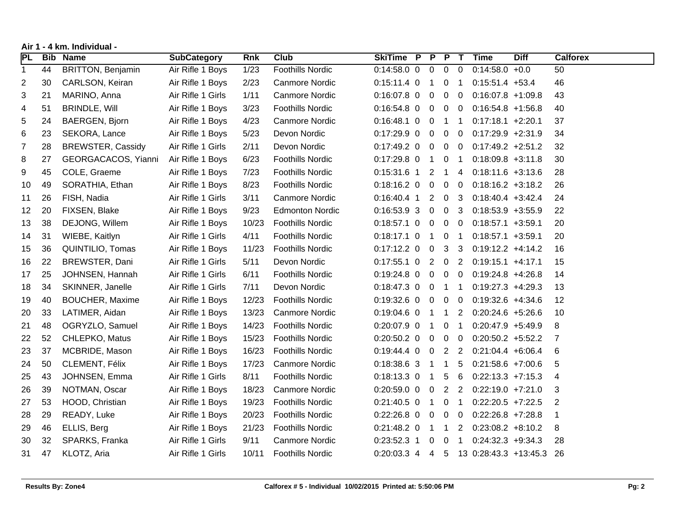| Air 1 - 4 km. Individual - |
|----------------------------|
|----------------------------|

| <b>PL</b>    | <b>Bib</b> | <b>Name</b>              | <b>SubCategory</b> | <b>Rnk</b> | <b>Club</b>             | SkiTime P P P T     |                |                |                 | <b>Time</b>                              | <b>Diff</b> | <b>Calforex</b> |
|--------------|------------|--------------------------|--------------------|------------|-------------------------|---------------------|----------------|----------------|-----------------|------------------------------------------|-------------|-----------------|
| $\mathbf{1}$ | 44         | <b>BRITTON, Benjamin</b> | Air Rifle 1 Boys   | 1/23       | <b>Foothills Nordic</b> | $0:14:58.0$ 0 0 0 0 |                |                |                 | $0:14:58.0 +0.0$                         |             | 50              |
| 2            | 30         | CARLSON, Keiran          | Air Rifle 1 Boys   | 2/23       | Canmore Nordic          | $0:15:11.4$ 0 1     |                | 0 <sub>1</sub> |                 | $0:15:51.4$ +53.4                        |             | 46              |
| 3            | 21         | MARINO, Anna             | Air Rifle 1 Girls  | 1/11       | Canmore Nordic          | $0:16:07.8$ 0 0 0 0 |                |                |                 | $0:16:07.8$ +1:09.8                      |             | 43              |
| 4            | 51         | <b>BRINDLE, Will</b>     | Air Rifle 1 Boys   | 3/23       | <b>Foothills Nordic</b> | $0:16:54.8$ 0 0 0 0 |                |                |                 | $0:16:54.8 +1:56.8$                      |             | 40              |
| 5            | 24         | <b>BAERGEN, Bjorn</b>    | Air Rifle 1 Boys   | 4/23       | <b>Canmore Nordic</b>   | $0:16:48.1$ 0 0     |                | $1 \quad 1$    |                 | $0:17:18.1 + 2:20.1$                     |             | 37              |
| 6            | 23         | SEKORA, Lance            | Air Rifle 1 Boys   | 5/23       | Devon Nordic            | $0:17:29.9$ 0 0 0 0 |                |                |                 | $0:17:29.9$ +2:31.9                      |             | 34              |
| 7            | 28         | <b>BREWSTER, Cassidy</b> | Air Rifle 1 Girls  | 2/11       | Devon Nordic            | $0:17:49.2$ 0 0 0 0 |                |                |                 | $0:17:49.2 +2:51.2$                      |             | 32              |
| 8            | 27         | GEORGACACOS, Yianni      | Air Rifle 1 Boys   | 6/23       | <b>Foothills Nordic</b> | $0:17:29.8$ 0 1     |                | 0 <sub>1</sub> |                 | $0:18:09.8 + 3:11.8$                     |             | 30              |
| 9            | 45         | COLE, Graeme             | Air Rifle 1 Boys   | 7/23       | Foothills Nordic        | $0:15:31.6$ 1 2 1 4 |                |                |                 | $0:18:11.6 + 3:13.6$                     |             | 28              |
| 10           | 49         | SORATHIA, Ethan          | Air Rifle 1 Boys   | 8/23       | <b>Foothills Nordic</b> | $0:18:16.2$ 0 0 0 0 |                |                |                 | $0:18:16.2 + 3:18.2$                     |             | 26              |
| 11           | 26         | FISH, Nadia              | Air Rifle 1 Girls  | 3/11       | <b>Canmore Nordic</b>   | $0:16:40.4$ 1 2     |                | 0 <sub>3</sub> |                 | $0:18:40.4$ +3:42.4                      |             | 24              |
| 12           | 20         | FIXSEN, Blake            | Air Rifle 1 Boys   | 9/23       | <b>Edmonton Nordic</b>  | $0:16:53.93$ 0 0 3  |                |                |                 | $0:18:53.9 + 3:55.9$                     |             | 22              |
| 13           | 38         | DEJONG, Willem           | Air Rifle 1 Boys   | 10/23      | <b>Foothills Nordic</b> | $0:18:57.1$ 0 0     |                | $0\quad 0$     |                 | $0:18:57.1 + 3:59.1$                     |             | 20              |
| 14           | 31         | WIEBE, Kaitlyn           | Air Rifle 1 Girls  | 4/11       | <b>Foothills Nordic</b> | $0:18:17.1$ 0 1     |                | 0 <sub>1</sub> |                 | $0:18:57.1 +3:59.1$                      |             | 20              |
| 15           | 36         | QUINTILIO, Tomas         | Air Rifle 1 Boys   | 11/23      | <b>Foothills Nordic</b> | $0:17:12.2$ 0 0 3 3 |                |                |                 | $0:19:12.2 +4:14.2$                      |             | 16              |
| 16           | 22         | BREWSTER, Dani           | Air Rifle 1 Girls  | 5/11       | Devon Nordic            | $0:17:55.1$ 0 2 0 2 |                |                |                 | $0:19:15.1 +4:17.1$                      |             | 15              |
| 17           | 25         | JOHNSEN, Hannah          | Air Rifle 1 Girls  | 6/11       | <b>Foothills Nordic</b> | $0:19:24.8$ 0 0     |                | $0\quad 0$     |                 | $0:19:24.8$ +4:26.8                      |             | 14              |
| 18           | 34         | SKINNER, Janelle         | Air Rifle 1 Girls  | 7/11       | Devon Nordic            | $0:18:47.3$ 0 0 1 1 |                |                |                 | $0:19:27.3$ +4:29.3                      |             | 13              |
| 19           | 40         | <b>BOUCHER, Maxime</b>   | Air Rifle 1 Boys   | 12/23      | <b>Foothills Nordic</b> | $0:19:32.6$ 0 0     |                | $0\quad 0$     |                 | $0:19:32.6 +4:34.6$                      |             | 12              |
| 20           | 33         | LATIMER, Aidan           | Air Rifle 1 Boys   | 13/23      | Canmore Nordic          | $0:19:04.6$ 0 1 1 2 |                |                |                 | $0:20:24.6 + 5:26.6$                     |             | 10              |
| 21           | 48         | OGRYZLO, Samuel          | Air Rifle 1 Boys   | 14/23      | <b>Foothills Nordic</b> | $0:20:07.9$ 0 1     |                | 0 <sub>1</sub> |                 | $0:20:47.9$ +5:49.9                      |             | 8               |
| 22           | 52         | CHLEPKO, Matus           | Air Rifle 1 Boys   | 15/23      | <b>Foothills Nordic</b> | $0:20:50.2$ 0 0     |                | $0\quad 0$     |                 | $0:20:50.2$ +5:52.2                      |             | 7               |
| 23           | 37         | MCBRIDE, Mason           | Air Rifle 1 Boys   | 16/23      | <b>Foothills Nordic</b> | $0:19:44.4$ 0 0 2 2 |                |                |                 | $0:21:04.4 + 6:06.4$                     |             | 6               |
| 24           | 50         | CLEMENT, Félix           | Air Rifle 1 Boys   | 17/23      | <b>Canmore Nordic</b>   | $0:18:38.6$ 3 1 1   |                |                | $5\phantom{.0}$ | $0:21:58.6 + 7:00.6$                     |             | 5               |
| 25           | 43         | JOHNSEN, Emma            | Air Rifle 1 Girls  | 8/11       | <b>Foothills Nordic</b> | $0:18:13.3$ 0 1     |                | $5\quad 6$     |                 | $0:22:13.3$ +7:15.3                      |             | 4               |
| 26           | 39         | NOTMAN, Oscar            | Air Rifle 1 Boys   | 18/23      | Canmore Nordic          | $0:20:59.0$ 0 0     |                | 2 <sub>2</sub> |                 | $0:22:19.0 +7:21.0$                      |             | 3               |
| 27           | 53         | HOOD, Christian          | Air Rifle 1 Boys   | 19/23      | <b>Foothills Nordic</b> | $0:21:40.5$ 0 1     |                | 0 <sub>1</sub> |                 | $0:22:20.5$ +7:22.5                      |             | $\overline{2}$  |
| 28           | 29         | READY, Luke              | Air Rifle 1 Boys   | 20/23      | <b>Foothills Nordic</b> | $0:22:26.8$ 0 0     |                | $0\quad 0$     |                 | $0:22:26.8$ +7:28.8                      |             | 1               |
| 29           | 46         | ELLIS, Berg              | Air Rifle 1 Boys   | 21/23      | <b>Foothills Nordic</b> | $0:21:48.2$ 0 1 1   |                |                | $\overline{2}$  | $0:23:08.2 +8:10.2$                      |             | 8               |
| 30           | 32         | SPARKS, Franka           | Air Rifle 1 Girls  | 9/11       | Canmore Nordic          | $0:23:52.3$ 1       | $\overline{0}$ | 0 <sub>1</sub> |                 | $0:24:32.3 +9:34.3$                      |             | 28              |
| 31           | 47         | KLOTZ, Aria              | Air Rifle 1 Girls  | 10/11      | <b>Foothills Nordic</b> |                     |                |                |                 | 0:20:03.3 4 4 5 13 0:28:43.3 +13:45.3 26 |             |                 |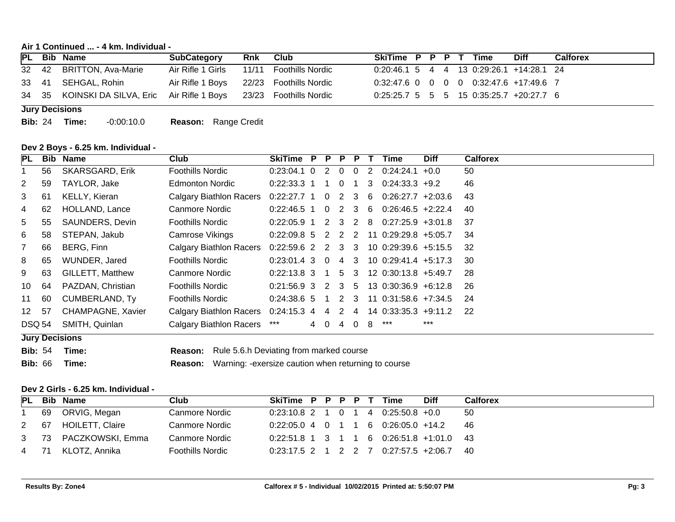**Air 1 Continued ... - 4 km. Individual -** 

|  | PL Bib Name                                                          | <b>SubCategory</b>                       | Rnk Club | SkiTime P P P T Time                      |  |  | <b>Diff</b> | <b>Calforex</b> |
|--|----------------------------------------------------------------------|------------------------------------------|----------|-------------------------------------------|--|--|-------------|-----------------|
|  | 32 42 BRITTON, Ava-Marie                                             | Air Rifle 1 Girls 11/11 Foothills Nordic |          | 0:20:46.1 5 4 4 13 0:29:26.1 +14:28.1 24  |  |  |             |                 |
|  | 33 41 SEHGAL, Rohin                                                  | Air Rifle 1 Boys 22/23 Foothills Nordic  |          | 0:32:47.6 0 0 0 0 0:32:47.6 +17:49.6 7    |  |  |             |                 |
|  | 34 35 KOINSKI DA SILVA, Eric Air Rifle 1 Boys 23/23 Foothills Nordic |                                          |          | $0:25:25.7$ 5 5 5 15 0:35:25.7 +20:27.7 6 |  |  |             |                 |

**Jury Decisions**

**Bib:** 24 **Time:** -0:00:10.0 **Reason:** Range Credit

#### **Dev 2 Boys - 6.25 km. Individual -**

| <b>PL</b>             | Bib | <b>Name</b>              | Club                                | SkiTime P         | <b>P</b>       | $\overline{P}$ | <b>P</b>       |                | Time                                              | <b>Diff</b> | <b>Calforex</b> |
|-----------------------|-----|--------------------------|-------------------------------------|-------------------|----------------|----------------|----------------|----------------|---------------------------------------------------|-------------|-----------------|
|                       | 56  | <b>SKARSGARD, Erik</b>   | <b>Foothills Nordic</b>             | $0:23:04.1$ 0     | $\overline{2}$ | $\Omega$       | 0              | $\overline{2}$ | $0.24:24.1$ +0.0                                  |             | 50              |
| $\mathbf{2}^{\prime}$ | 59  | TAYLOR, Jake             | <b>Edmonton Nordic</b>              | $0.22:33.3$ 1     | $\blacksquare$ | $\overline{0}$ | -1             |                | $3\quad 0.24.33.3 \; +9.2$                        |             | 46              |
| 3                     | 61  | KELLY, Kieran            | Calgary Biathlon Racers             | $0:22:27.7$ 1 0   |                | 2 3            |                |                | $6$ 0:26:27.7 +2:03.6                             |             | 43              |
| 4                     | 62  | HOLLAND, Lance           | Canmore Nordic                      | $0.22:46.5$ 1     | $\overline{0}$ | 2 3            |                | 6              | $0:26:46.5$ +2:22.4                               |             | 40              |
| 5.                    | 55  | SAUNDERS, Devin          | <b>Foothills Nordic</b>             |                   |                |                |                |                | $0:22:05.9$ 1 2 3 2 8 0:27:25.9 +3:01.8           |             | -37             |
| 6                     | 58  | STEPAN, Jakub            | Camrose Vikings                     | $0:22:09.8$ 5     | 2 2 2          |                |                |                | 11 0:29:29.8 +5:05.7                              |             | 34              |
| $\overline{7}$        | 66  | BERG, Finn               | Calgary Biathlon Racers             |                   |                |                |                |                | $0.22:59.6$ 2 2 3 3 10 0.29:39.6 +5:15.5          |             | -32             |
| 8                     | 65  | WUNDER, Jared            | <b>Foothills Nordic</b>             | $0:23:01.4$ 3 0   |                | 4 3            |                |                | 10 0:29:41.4 +5:17.3                              |             | 30              |
| 9                     | 63  | GILLETT, Matthew         | Canmore Nordic                      | $0.22:13.8$ 3 1   |                |                |                |                | $5 \quad 3 \quad 12 \quad 0.3013.8 \quad +5.49.7$ |             | -28             |
| 10                    | 64  | PAZDAN, Christian        | <b>Foothills Nordic</b>             | $0:21:56.9$ 3 2 3 |                |                | 5 <sup>5</sup> |                | $13 \t0:30:36.9 +6:12.8$                          |             | -26             |
| 11                    | 60  | <b>CUMBERLAND, Ty</b>    | <b>Foothills Nordic</b>             | $0.24.38.6$ 5     | $\blacksquare$ |                |                |                | 2 3 11 0:31:58.6 +7:34.5                          |             | -24             |
| 12 <sup>1</sup>       | 57  | <b>CHAMPAGNE, Xavier</b> | Calgary Biathlon Racers 0:24:15.3 4 |                   | 4              | $\overline{2}$ | 4              |                | 14 0:33:35.3 +9:11.2                              |             | -22             |
| DSQ 54                |     | SMITH, Quinlan           | <b>Calgary Biathlon Racers</b>      | ***               | 40             | 4              | $\overline{0}$ | 8              | ***                                               | $***$       |                 |
|                       |     | <b>Jury Decisions</b>    |                                     |                   |                |                |                |                |                                                   |             |                 |

**Bib:** 54 **Time: Reason:** Rule 5.6.h Deviating from marked course **Bib:** 66 **Time: Reason:** Warning: -exersize caution when returning to course

#### **Dev 2 Girls - 6.25 km. Individual -**

|  | PL Bib Name           | Club                  | SkiTime P P P P T Time |  |  |                                            | <b>Diff</b> | Calforex |
|--|-----------------------|-----------------------|------------------------|--|--|--------------------------------------------|-------------|----------|
|  | i 69 ORVIG, Megan     | Canmore Nordic        |                        |  |  | $0:23:10.8$ 2 1 0 1 4 0:25:50.8 +0.0       |             | -50      |
|  | 2 67 HOILETT, Claire  | <b>Canmore Nordic</b> |                        |  |  | $0.22:05.0$ 4 0 1 1 6 0.26:05.0 +14.2      |             | - 46     |
|  | 3 73 PACZKOWSKI, Emma | <b>Canmore Nordic</b> |                        |  |  | $0.22:51.8$ 1 3 1 1 6 0.26:51.8 +1:01.0 43 |             |          |
|  | 4 71 KLOTZ, Annika    | Foothills Nordic      |                        |  |  | $0.23:17.5$ 2 1 2 2 7 0.27:57.5 +2:06.7 40 |             |          |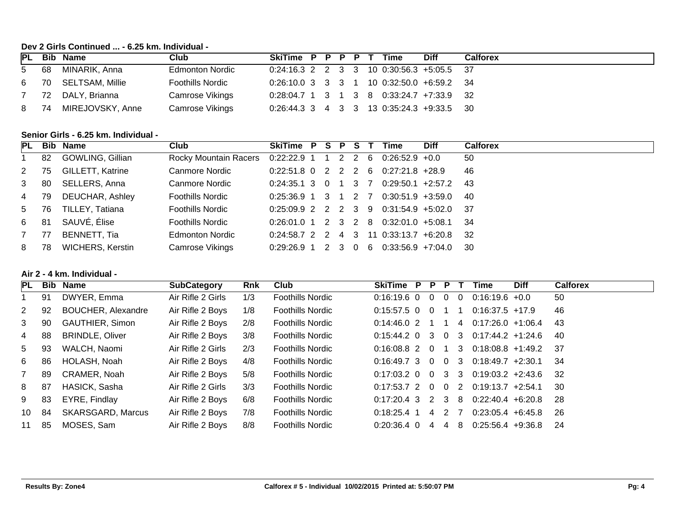# **Dev 2 Girls Continued ... - 6.25 km. Individual -**

|      | PL Bib Name          | Club                    | SkiTime P P P P T                           |  |  | Time | <b>Diff</b> | Calforex |
|------|----------------------|-------------------------|---------------------------------------------|--|--|------|-------------|----------|
|      | 5 68 MINARIK, Anna   | <b>Edmonton Nordic</b>  | $0.24:16.3$ 2 2 3 3 10 0:30:56.3 +5:05.5 37 |  |  |      |             |          |
|      | 6 70 SELTSAM, Millie | <b>Foothills Nordic</b> | 0:26:10.0 3 3 3 1 10 0:32:50.0 +6:59.2 34   |  |  |      |             |          |
|      | 7 72 DALY, Brianna   | Camrose Vikings         | $0:28:04.7$ 1 3 1 3 8 0:33:24.7 +7:33.9 32  |  |  |      |             |          |
| 8 74 | MIREJOVSKY, Anne     | Camrose Vikings         | $0:26:44.3$ 3 4 3 3 13 0:35:24.3 +9:33.5 30 |  |  |      |             |          |

# **Senior Girls - 6.25 km. Individual -**

|                |      | PL Bib Name             | Club                                      | SkiTime P S P S T                                   |  |       |   | Time                                     | <b>Diff</b> | <b>Calforex</b> |
|----------------|------|-------------------------|-------------------------------------------|-----------------------------------------------------|--|-------|---|------------------------------------------|-------------|-----------------|
|                | 82   | GOWLING, Gillian        | Rocky Mountain Racers 0:22:22.9 1 1 2 2 6 |                                                     |  |       |   | $0.26.52.9$ +0.0                         |             | 50              |
| 2 75           |      | <b>GILLETT, Katrine</b> | <b>Canmore Nordic</b>                     |                                                     |  |       |   | $0.22:51.8$ 0 2 2 2 6 0.27:21.8 +28.9    |             | 46              |
| 3 <sup>1</sup> | 80   | SELLERS, Anna           | <b>Canmore Nordic</b>                     | $0:24:35.1 \quad 3 \quad 0 \quad 1 \quad 3 \quad 7$ |  |       |   | $0:29:50.1$ +2:57.2                      |             | - 43            |
| 4 79           |      | DEUCHAR, Ashley         | <b>Foothills Nordic</b>                   |                                                     |  |       |   | $0.25:36.9$ 1 3 1 2 7 0.30:51.9 +3:59.0  |             | - 40            |
| 5 76           |      | TILLEY, Tatiana         | <b>Foothills Nordic</b>                   |                                                     |  |       |   | $0.25:09.9$ 2 2 2 3 9 0.31:54.9 +5:02.0  |             | - 37            |
| 6 81           |      | SAUVÉ, Élise            | <b>Foothills Nordic</b>                   |                                                     |  |       |   | $0:26:01.0$ 1 2 3 2 8 0:32:01.0 +5:08.1  |             | - 34            |
| 7              | 77   | BENNETT, Tia            | <b>Edmonton Nordic</b>                    |                                                     |  |       |   | $0:24:58.7$ 2 2 4 3 11 0:33:13.7 +6:20.8 |             | - 32            |
| 8              | - 78 | <b>WICHERS, Kerstin</b> | Camrose Vikings                           | $0.29.26.9$ 1                                       |  | 2 3 0 | 6 | $0:33:56.9$ +7:04.0                      |             | - 30            |

## **Air 2 - 4 km. Individual -**

| PL             | Bib | <b>Name</b>               | <b>SubCategory</b> | <b>Rnk</b> | Club                    | <b>SkiTime</b>  | P. | P                          | P.             |              | Time                                      | <b>Diff</b> | <b>Calforex</b> |
|----------------|-----|---------------------------|--------------------|------------|-------------------------|-----------------|----|----------------------------|----------------|--------------|-------------------------------------------|-------------|-----------------|
|                | 91  | DWYER, Emma               | Air Rifle 2 Girls  | 1/3        | <b>Foothills Nordic</b> | $0:16:19.6$ 0   |    | 0                          | $\Omega$       | $\Omega$     | $0:16:19.6 + 0.0$                         |             | 50              |
| $\mathbf{2}$   | 92  | <b>BOUCHER, Alexandre</b> | Air Rifle 2 Boys   | 1/8        | <b>Foothills Nordic</b> | $0:15:57.5$ 0   |    | 0                          |                |              | $0:16:37.5$ +17.9                         |             | 46              |
| 3              | 90  | <b>GAUTHIER, Simon</b>    | Air Rifle 2 Boys   | 2/8        | <b>Foothills Nordic</b> | $0:14:46.0$ 2   |    |                            |                | 4            | $0:17:26.0 +1:06.4$                       |             | 43              |
| 4              | 88  | <b>BRINDLE, Oliver</b>    | Air Rifle 2 Boys   | 3/8        | <b>Foothills Nordic</b> | $0:15:44.2$ 0   |    | - 3                        |                |              | $0 \quad 3 \quad 0:17:44.2 \quad +1:24.6$ |             | -40             |
| 5 <sup>5</sup> | 93  | WALCH, Naomi              | Air Rifle 2 Girls  | 2/3        | <b>Foothills Nordic</b> | $0:16:08.8$ 2 0 |    |                            |                | $\mathbf{3}$ | $0:18:08.8$ +1:49.2                       |             | -37             |
| 6              | 86  | HOLASH, Noah              | Air Rifle 2 Boys   | 4/8        | <b>Foothills Nordic</b> | $0.16.49.7$ 3 0 |    |                            | 0 <sub>3</sub> |              | $0:18:49.7$ +2:30.1                       |             | 34              |
| $\overline{7}$ | 89  | CRAMER, Noah              | Air Rifle 2 Boys   | 5/8        | <b>Foothills Nordic</b> | $0:17:03.2$ 0   |    | $\Omega$                   | 3 3            |              | $0.19:03.2 +2:43.6$                       |             | -32             |
| 8              | 87  | HASICK, Sasha             | Air Rifle 2 Girls  | 3/3        | <b>Foothills Nordic</b> | $0:17:53.7$ 2 0 |    |                            |                |              | $0 \quad 2 \quad 0:19:13.7 \quad +2:54.1$ |             | 30              |
| 9              | 83  | EYRE, Findlay             | Air Rifle 2 Boys   | 6/8        | <b>Foothills Nordic</b> | $0:17:20.4$ 3   |    | $\overline{\phantom{a}}$ 2 | 3 8            |              | $0:22:40.4$ +6:20.8                       |             | -28             |
| 10             | 84  | <b>SKARSGARD, Marcus</b>  | Air Rifle 2 Boys   | 7/8        | <b>Foothills Nordic</b> | $0:18:25.4$ 1   |    | 4                          | 2 7            |              | $0:23:05.4$ +6:45.8                       |             | 26              |
| 11             | 85  | MOSES, Sam                | Air Rifle 2 Boys   | 8/8        | <b>Foothills Nordic</b> | $0:20:36.4$ 0   |    | 4                          | 4              | -8           | $0:25:56.4$ +9:36.8                       |             | -24             |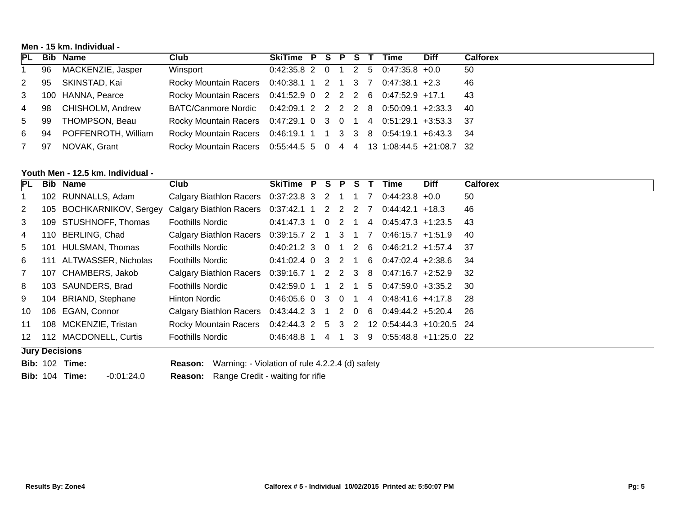**Men - 15 km. Individual -** 

|      | PL Bib Name              | Club                                                                    | SkiTime P S P S T Time               |  |  |  | <b>Diff</b> | <b>Calforex</b> |
|------|--------------------------|-------------------------------------------------------------------------|--------------------------------------|--|--|--|-------------|-----------------|
|      | 1 96 MACKENZIE, Jasper   | Winsport                                                                | $0.42:35.8$ 2 0 1 2 5 0:47:35.8 +0.0 |  |  |  |             | -50             |
|      | 2 95 SKINSTAD, Kai       | Rocky Mountain Racers  0:40:38.1  1  2  1  3  7  0:47:38.1  +2.3        |                                      |  |  |  |             | -46             |
|      | 3 100 HANNA, Pearce      | Rocky Mountain Racers 0:41:52.9 0 2 2 2 6 0:47:52.9 +17.1 43            |                                      |  |  |  |             |                 |
|      | 4 98 CHISHOLM, Andrew    | BATC/Canmore Nordic 0:42:09.1 2 2 2 2 8 0:50:09.1 +2:33.3 40            |                                      |  |  |  |             |                 |
|      | 5 99 THOMPSON, Beau      | Rocky Mountain Racers 0:47:29.1 0 3 0 1 4 0:51:29.1 +3:53.3 37          |                                      |  |  |  |             |                 |
|      | 6 94 POFFENROTH, William | Rocky Mountain Racers  0:46:19.1  1  1  3  3  8  0:54:19.1  +6:43.3  34 |                                      |  |  |  |             |                 |
| 7 97 | NOVAK, Grant             | Rocky Mountain Racers 0:55:44.5 5 0 4 4 13 1:08:44.5 +21:08.7 32        |                                      |  |  |  |             |                 |

# **Youth Men - 12.5 km. Individual -**

| PL             | <b>Bib Name</b>             | Club                                        | SkiTime P S           |            | PS T |          |                | Time                                       | <b>Diff</b> | <b>Calforex</b> |
|----------------|-----------------------------|---------------------------------------------|-----------------------|------------|------|----------|----------------|--------------------------------------------|-------------|-----------------|
|                | 102 RUNNALLS, Adam          | Calgary Biathlon Racers 0:37:23.8 3 2 1 1 7 |                       |            |      |          |                | $0.44.23.8 + 0.0$                          |             | 50              |
| $\mathbf{2}$   | 105 BOCHKARNIKOV, Sergey    | Calgary Biathlon Racers 0:37:42.1 1 2 2 2 7 |                       |            |      |          |                | $0.44:42.1$ +18.3                          |             | 46              |
| 3              | 109 STUSHNOFF, Thomas       | <b>Foothills Nordic</b>                     | $0.41:47.3$ 1 0       |            | 2 1  |          | 4              | $0.45:47.3$ +1:23.5                        |             | -43             |
| 4              | 110 BERLING, Chad           | Calgary Biathlon Racers 0:39:15.7 2 1 3 1   |                       |            |      |          | $\overline{7}$ | $0:46:15.7$ +1:51.9                        |             | -40             |
| 5              | 101 HULSMAN, Thomas         | <b>Foothills Nordic</b>                     | $0.40:21.2 \, 3 \, 0$ |            |      |          |                | 1 2 6 0:46:21.2 +1:57.4 37                 |             |                 |
| 6              | 111 ALTWASSER, Nicholas     | <b>Foothills Nordic</b>                     |                       |            |      |          |                | $0.41:02.4$ 0 3 2 1 6 0.47:02.4 +2:38.6 34 |             |                 |
| $\overline{7}$ | 107 CHAMBERS, Jakob         | Calgary Biathlon Racers                     |                       |            |      |          |                | $0:39:16.7$ 1 2 2 3 8 0:47:16.7 +2:52.9    |             | - 32            |
| 8              | 103 SAUNDERS, Brad          | <b>Foothills Nordic</b>                     | $0.42:59.0$ 1 1 2 1   |            |      |          |                | $5$ 0:47:59.0 +3:35.2 30                   |             |                 |
| 9              | 104 BRIAND, Stephane        | Hinton Nordic                               | $0.46.05.6$ 0 3 0     |            |      |          | 4              | $0.48:41.6 +4:17.8$ 28                     |             |                 |
| 10             | 106 EGAN, Connor            | Calgary Biathlon Racers 0:43:44.2 3         |                       | $1\quad 2$ |      | $\Omega$ |                | 6 0:49:44.2 +5:20.4 26                     |             |                 |
| 11             | 108 MCKENZIE, Tristan       | <b>Rocky Mountain Racers</b>                |                       |            |      |          |                | 0:42:44.3 2 5 3 2 12 0:54:44.3 +10:20.5 24 |             |                 |
| 12             | 112 MACDONELL, Curtis       | <b>Foothills Nordic</b>                     | 0:46:48.8 1           | 4          | 1 3  |          | -9             | 0:55:48.8 +11:25.0 22                      |             |                 |
|                | المستحلم المتحافظ والمستناء |                                             |                       |            |      |          |                |                                            |             |                 |

#### **Jury Decisions**

**Bib:** 102 **Time: Reason:** Warning: - Violation of rule 4.2.2.4 (d) safety

**Bib:** 104 **Time:** -0:01:24.0 **Reason:** Range Credit - waiting for rifle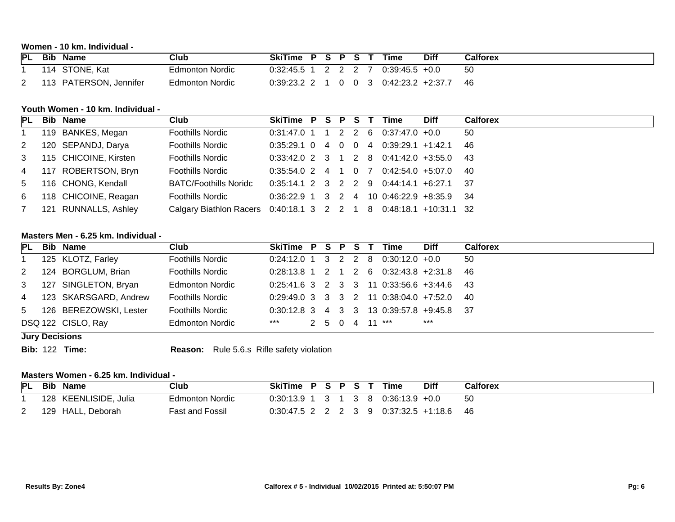# **Women - 10 km. Individual -**

| <b>PL</b> | <b>Bib</b> | Name               | Club                   | <b>SkiTime</b> |  | D | e | īme       | Diff    | <b>Calforex</b> |
|-----------|------------|--------------------|------------------------|----------------|--|---|---|-----------|---------|-----------------|
|           | 14         | STONE, Kat         | Edmonton Nordic        | ):32:45.5      |  |   |   | 0.39:45.5 | $+0.0$  | 50              |
|           | l 4 '      | PATERSON, Jennifer | <b>Edmonton Nordic</b> | 11.39.23.2     |  |   |   | 0:42:23.2 | $+2:37$ | 46              |

#### **Youth Women - 10 km. Individual -**

|                | <b>PL</b> Bib Name    | Club                                                              | SkiTime P S P S T |  |  | Time                                        | <b>Diff</b> | <b>Calforex</b> |
|----------------|-----------------------|-------------------------------------------------------------------|-------------------|--|--|---------------------------------------------|-------------|-----------------|
|                | 119 BANKES, Megan     | <b>Foothills Nordic</b>                                           |                   |  |  | $0.31.47.0$ 1 1 2 2 6 0.37:47.0 +0.0        |             | 50              |
| 2              | 120 SEPANDJ, Darya    | <b>Foothills Nordic</b>                                           |                   |  |  | $0:35:29.1$ 0 4 0 0 4 0:39:29.1 +1:42.1     |             | -46             |
| 3 <sup>7</sup> | 115 CHICOINE, Kirsten | <b>Foothills Nordic</b>                                           |                   |  |  | $0.33:42.0$ 2 3 1 2 8 0:41:42.0 +3:55.0 43  |             |                 |
|                | 4 117 ROBERTSON, Bryn | <b>Foothills Nordic</b>                                           |                   |  |  | $0.35:54.0$ 2 4 1 0 7 0:42:54.0 +5:07.0 40  |             |                 |
| $5^{\circ}$    | 116 CHONG, Kendall    | <b>BATC/Foothills Noridc</b>                                      |                   |  |  | $0:35:14.1$ 2 3 2 2 9 0:44:14.1 +6:27.1 37  |             |                 |
| 6              | 118 CHICOINE, Reagan  | <b>Foothills Nordic</b>                                           |                   |  |  | $0.36:22.9$ 1 3 2 4 10 0:46:22.9 +8:35.9 34 |             |                 |
| <b>7</b>       | 121 RUNNALLS, Ashley  | Calgary Biathlon Racers 0:40:18.1 3 2 2 1 8 0:48:18.1 +10:31.1 32 |                   |  |  |                                             |             |                 |

### **Masters Men - 6.25 km. Individual -**

|   | PL Bib Name              | Club                    | SkiTime P S P S T Time |  |  |                                             | <b>Diff</b> | <b>Calforex</b> |
|---|--------------------------|-------------------------|------------------------|--|--|---------------------------------------------|-------------|-----------------|
|   | 125 KLOTZ, Farley        | <b>Foothills Nordic</b> |                        |  |  | $0:24:12.0$ 1 3 2 2 8 0:30:12.0 +0.0        |             | 50              |
| 2 | 124 BORGLUM, Brian       | <b>Foothills Nordic</b> |                        |  |  | $0.28:13.8$ 1 2 1 2 6 0:32:43.8 +2:31.8 46  |             |                 |
|   | 3 127 SINGLETON, Bryan   | <b>Edmonton Nordic</b>  |                        |  |  | $0:25:41.6$ 3 2 3 3 11 0:33:56.6 +3:44.6 43 |             |                 |
|   | 4 123 SKARSGARD, Andrew  | <b>Foothills Nordic</b> |                        |  |  | $0:29:49.0$ 3 3 3 2 11 0:38:04.0 +7:52.0 40 |             |                 |
|   | 5 126 BEREZOWSKI, Lester | <b>Foothills Nordic</b> |                        |  |  | $0:30:12.8$ 3 4 3 3 13 0:39:57.8 +9:45.8 37 |             |                 |
|   | DSQ 122 CISLO, Ray       | <b>Edmonton Nordic</b>  | ***                    |  |  | 2 5 0 4 11 ***                              | $***$       |                 |

- **Jury Decisions**
- 

**Bib:** 122 **Time: Reason:** Rule 5.6.s Rifle safety violation

## **Masters Women - 6.25 km. Individual -**

| PL       | Bib | Name                  | Club                   | SkiTime P S P S |           |    | Time                                    | <b>Diff</b> | Calforex |
|----------|-----|-----------------------|------------------------|-----------------|-----------|----|-----------------------------------------|-------------|----------|
|          |     | 128 KEENLISIDE, Julia | <b>Edmonton Nordic</b> | 0:30:13.9 1     | $13^{+1}$ | 38 | $0:36:13.9$ +0.0                        |             | 50       |
| <u>_</u> |     | 129 HALL, Deborah     | <b>Fast and Fossil</b> |                 |           |    | $0.30:47.5$ 2 2 2 3 9 0.37:32.5 +1:18.6 |             | 46       |